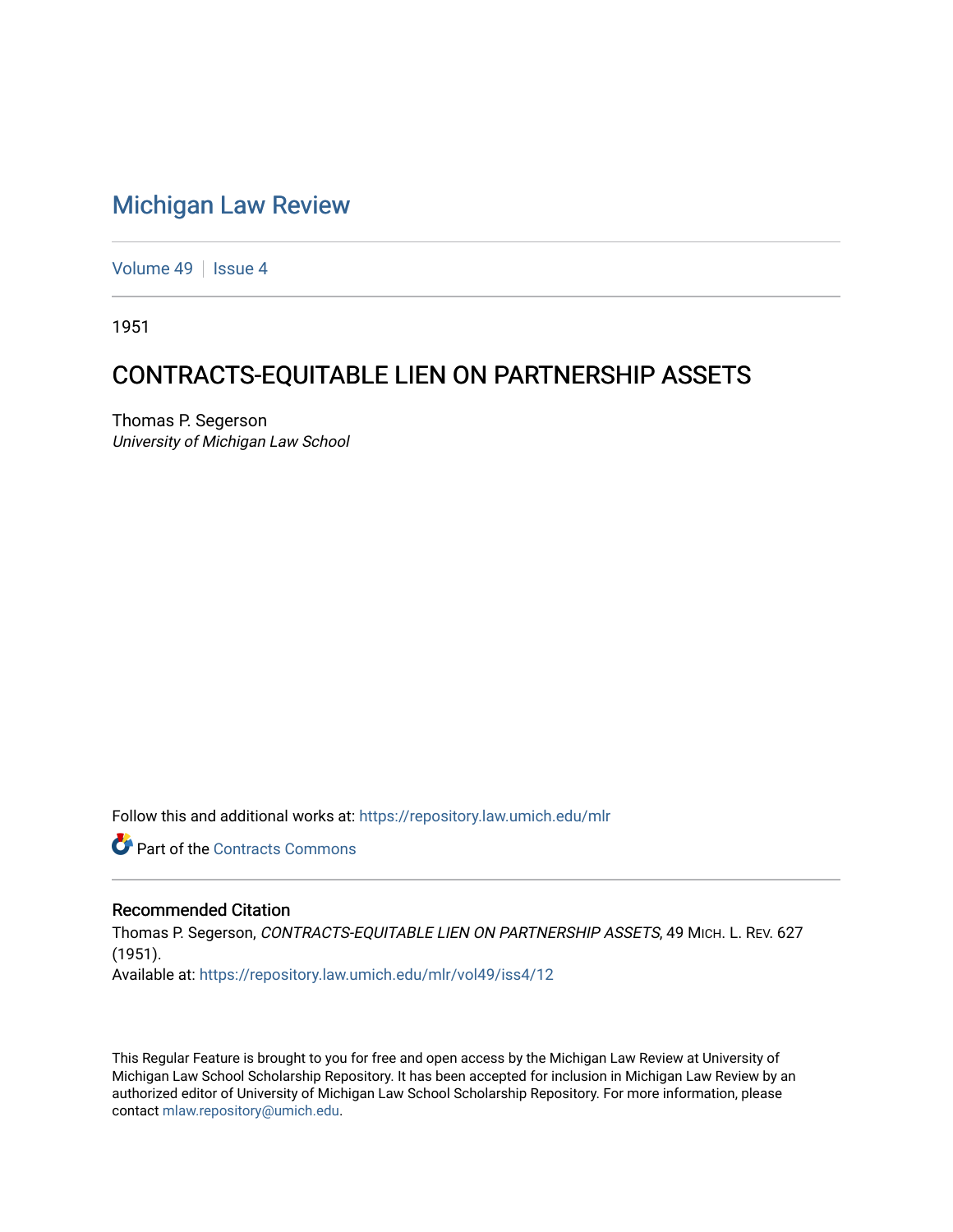## [Michigan Law Review](https://repository.law.umich.edu/mlr)

[Volume 49](https://repository.law.umich.edu/mlr/vol49) | [Issue 4](https://repository.law.umich.edu/mlr/vol49/iss4)

1951

## CONTRACTS-EQUITABLE LIEN ON PARTNERSHIP ASSETS

Thomas P. Segerson University of Michigan Law School

Follow this and additional works at: [https://repository.law.umich.edu/mlr](https://repository.law.umich.edu/mlr?utm_source=repository.law.umich.edu%2Fmlr%2Fvol49%2Fiss4%2F12&utm_medium=PDF&utm_campaign=PDFCoverPages) 

**C** Part of the [Contracts Commons](http://network.bepress.com/hgg/discipline/591?utm_source=repository.law.umich.edu%2Fmlr%2Fvol49%2Fiss4%2F12&utm_medium=PDF&utm_campaign=PDFCoverPages)

## Recommended Citation

Thomas P. Segerson, CONTRACTS-EQUITABLE LIEN ON PARTNERSHIP ASSETS, 49 MICH. L. REV. 627 (1951). Available at: [https://repository.law.umich.edu/mlr/vol49/iss4/12](https://repository.law.umich.edu/mlr/vol49/iss4/12?utm_source=repository.law.umich.edu%2Fmlr%2Fvol49%2Fiss4%2F12&utm_medium=PDF&utm_campaign=PDFCoverPages) 

This Regular Feature is brought to you for free and open access by the Michigan Law Review at University of Michigan Law School Scholarship Repository. It has been accepted for inclusion in Michigan Law Review by an authorized editor of University of Michigan Law School Scholarship Repository. For more information, please contact [mlaw.repository@umich.edu](mailto:mlaw.repository@umich.edu).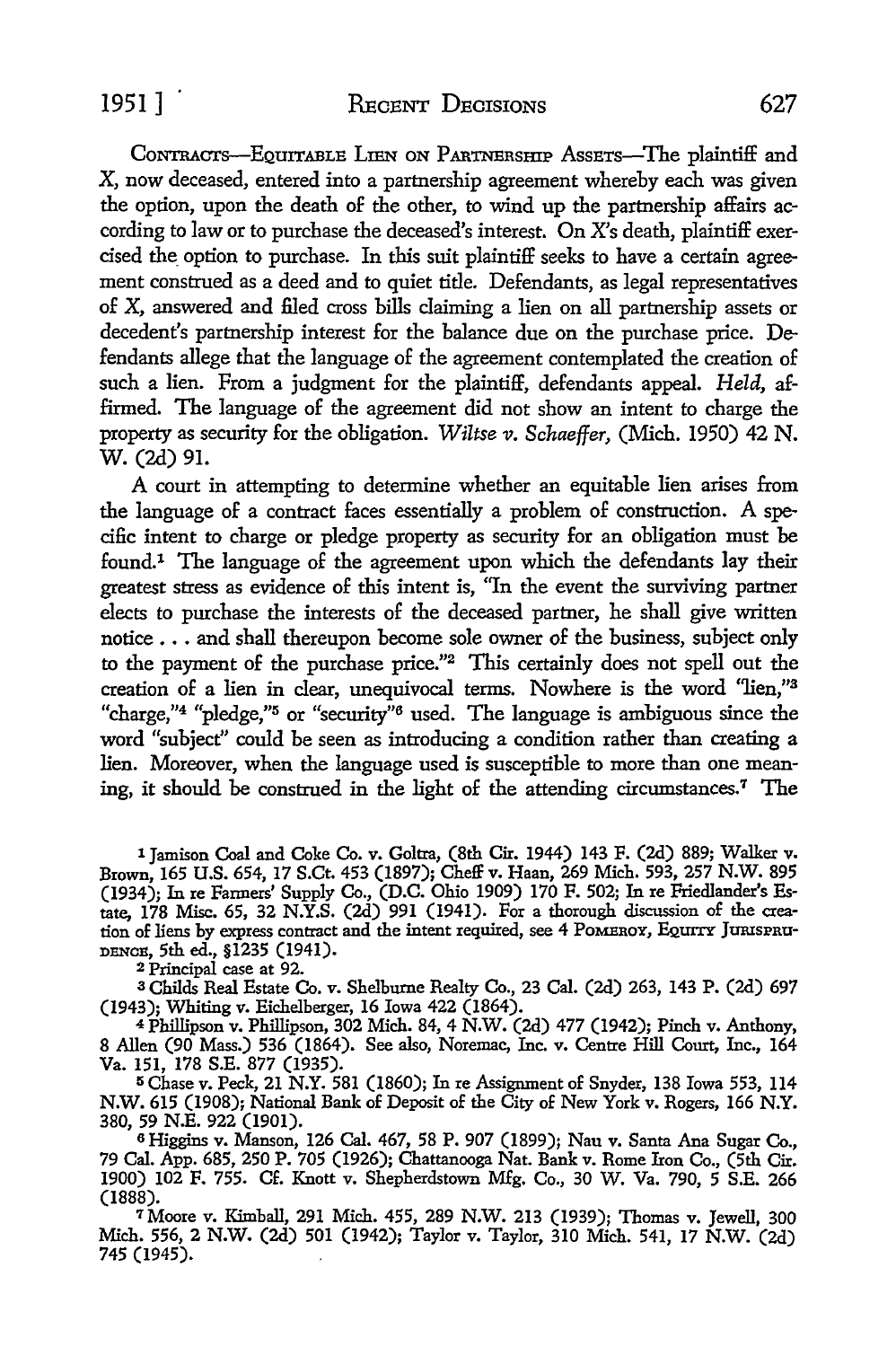1951] RECENT DECISIONS 627

CONTRACTS-EQUITABLE LIEN ON PARTNERSHIP ASSETS-The plaintiff and X, now deceased, entered into a partnership agreement whereby each was given the option, upon the death of the other, to wind up the partnership affairs according to law or to purchase the deceased's interest. On  $X$ 's death, plaintiff exercised the option to purchase. In this suit plaintiff seeks to have a certain agreement construed as a deed and to quiet title. Defendants, as legal representatives of X, answered and filed cross bills claiming a lien on all partnership assets or decedent's partnership interest for the balance due on the purchase price. Defendants allege that the language of the agreement contemplated the creation of such a lien. From a judgment for the plaintiff, defendants appeal. *Held,* affirmed. The language of the agreement did not show an intent to charge the property as security for the obligation. Wiltse v. Schaeffer, (Mich. 1950) 42 N. w. (2d) 91.

A court in attempting to determine whether an equitable lien arises from the language of a contract faces essentially a problem of construction. A specific intent to charge or pledge property as security for an obligation must be found.1 The language of the agreement upon which the defendants lay their greatest stress as evidence of this intent is, ''In the event the surviving partner elects to purchase the interests of the deceased partner, he shall give written notice  $\ldots$  and shall thereupon become sole owner of the business, subject only to the payment of the purchase price."<sup>2</sup> This certainly does not spell out the creation of a lien in clear, unequivocal terms. Nowhere is the word "lien,"<sup>8</sup> "charge,''4 "pledge,"5 or "security"6 used. The language is ambiguous since the word "subject" could be seen as introducing a condition rather than creating a lien. Moreover, when the language used is susceptible *to* more than one meaning, it should be construed in the light of the attending circumstances. 7 The

1 Jamison Coal and Coke Co. v. Goltra, (8th Cir. 1944) 143 F. (2d) 889; Walker v. Brown, 165 U.S. 654, 17 S.Ct. 453 (1897); Cheff v. Haan, 269 Mich. 593, 257 N.W. 895 (1934); In re Farmers' Supply Co., (D.C. Ohio 1909) 170 F. 502; In re Friedlander's Estate, 178 Misc. 65, 32 N.Y.S. (2d) 991 (1941). For a thorough discussion of the creation of liens by express contract and the intent required, see 4 POMEROY, EQUITY JURISPRU-DENCE, 5th ed., §1235 (1941).

<sup>2</sup>Principal case at 92.

a Childs Real Estate Co. v. Shelburne Realty Co., 23 Cal. (2d) 263, 143 P. (2d) 697 (1943); Whiting v. Eichelberger, 16 Iowa 422 (1864).

<sup>4</sup>Phillipson v. Phillipson, 302 Mich. 84, 4 N.W. (2d) 477 (1942); Pinch v. Anthony, 8 Allen (90 Mass.) 536 (1864). See also, Noremac, Inc. v. Centre Hill Court, Inc., 164 Va. 151, 178 S.E. 877 (1935).

<sup>5</sup>Chase v. Peck, 21 N.Y. 581 (1860); In re Assignment of Snyder, 138 Iowa 553, 114 N.W. 615 (1908); National Bank of Deposit of the City of New York v. Rogers, 166 N.Y. 380, 59 N.E. 922 (1901).

<sup>6</sup>Higgins v. Manson, 126 Cal. 467, 58 P. 907 (1899); Nau v. Santa Ana Sugar Co., 79 Cal. App. 685, 250 P. 705 (1926); Chattanooga Nat. Bank v. Rome Iron Co., (5th Cir. 1900) 102 F. 755. Cf. Knott v. Shepherdstown Mfg. Co., 30 W. Va. 790, 5 S.E. 266 (1888).

<sup>7</sup>Moore v. Kimball, 291 Mich. 455, 289 N.W. 213 (1939); Thomas v. Jewell, 300 Mich. 556, 2 N.W. (2d) 501 (1942); Taylor v. Taylor, 310 Mich. 541, 17 N.W. (2d) 745 (1945). \_